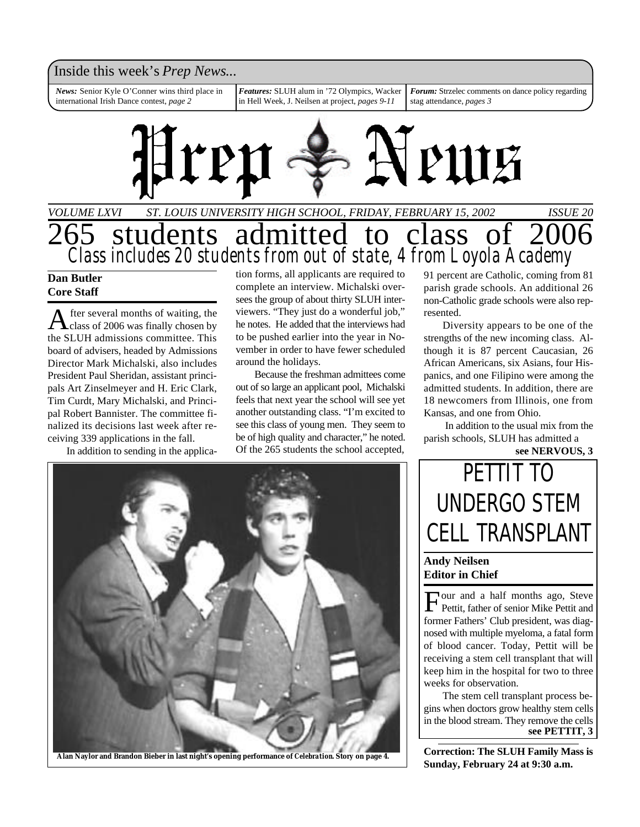### Inside this week's *Prep News*...

*News:* Senior Kyle O'Conner wins third place in international Irish Dance contest, *page 2*

*Features:* SLUH alum in '72 Olympics, Wacker in Hell Week, J. Neilsen at project, *pages 9-11*

*Forum:* Strzelec comments on dance policy regarding stag attendance, *pages 3*



## *VOLUME LXVI ST. LOUIS UNIVERSITY HIGH SCHOOL, FRIDAY, FEBRUARY 15, 2002 ISSUE 20* 265 students admitted to class of 2006 *Class includes 20 students from out of state, 4 from Loyola Academy*

### **Dan Butler Core Staff**

A fter several months of waiting, the<br>class of 2006 was finally chosen by fter several months of waiting, the the SLUH admissions committee. This board of advisers, headed by Admissions Director Mark Michalski, also includes President Paul Sheridan, assistant principals Art Zinselmeyer and H. Eric Clark, Tim Curdt, Mary Michalski, and Principal Robert Bannister. The committee finalized its decisions last week after receiving 339 applications in the fall.

In addition to sending in the applica-

tion forms, all applicants are required to complete an interview. Michalski oversees the group of about thirty SLUH interviewers. "They just do a wonderful job," he notes. He added that the interviews had to be pushed earlier into the year in November in order to have fewer scheduled around the holidays.

Because the freshman admittees come out of so large an applicant pool, Michalski feels that next year the school will see yet another outstanding class. "I'm excited to see this class of young men. They seem to be of high quality and character," he noted. Of the 265 students the school accepted,

91 percent are Catholic, coming from 81 parish grade schools. An additional 26 non-Catholic grade schools were also represented.

Diversity appears to be one of the strengths of the new incoming class. Although it is 87 percent Caucasian, 26 African Americans, six Asians, four Hispanics, and one Filipino were among the admitted students. In addition, there are 18 newcomers from Illinois, one from Kansas, and one from Ohio.

 In addition to the usual mix from the parish schools, SLUH has admitted a

**see NERVOUS, 3**

**Alan Naylor and Brandon Bieber in last night's opening performance of** *Celebration***. Story on page 4.**

## PETTIT TO UNDERGO STEM CELL TRANSPLANT

### **Andy Neilsen Editor in Chief**

Four and a half months ago, Steve<br>Pettit, father of senior Mike Pettit and our and a half months ago, Steve former Fathers' Club president, was diagnosed with multiple myeloma, a fatal form of blood cancer. Today, Pettit will be receiving a stem cell transplant that will keep him in the hospital for two to three weeks for observation.

The stem cell transplant process begins when doctors grow healthy stem cells in the blood stream. They remove the cells **see PETTIT, 3**

**Correction: The SLUH Family Mass is Sunday, February 24 at 9:30 a.m.**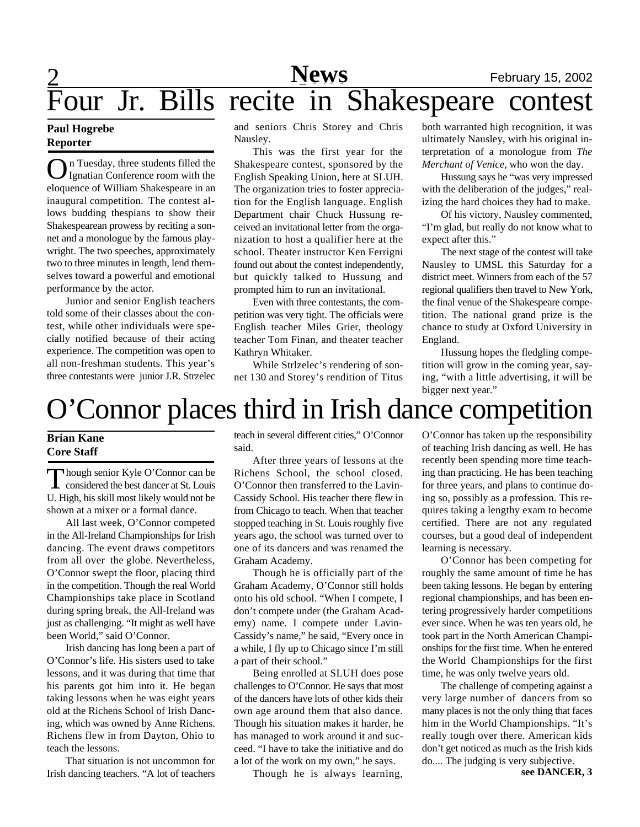Four Jr. Bills recite in Shakespeare contest

### **Paul Hogrebe Reporter**

**O** I Tuesday, three students filled the Ignatian Conference room with the eloquence of William Shakespeare in an n Tuesday, three students filled the Ignatian Conference room with the inaugural competition. The contest allows budding thespians to show their Shakespearean prowess by reciting a sonnet and a monologue by the famous playwright. The two speeches, approximately two to three minutes in length, lend themselves toward a powerful and emotional performance by the actor.

Junior and senior English teachers told some of their classes about the contest, while other individuals were specially notified because of their acting experience. The competition was open to all non-freshman students. This year's three contestants were junior J.R. Strzelec and seniors Chris Storey and Chris Nausley.

This was the first year for the Shakespeare contest, sponsored by the English Speaking Union, here at SLUH. The organization tries to foster appreciation for the English language. English Department chair Chuck Hussung received an invitational letter from the organization to host a qualifier here at the school. Theater instructor Ken Ferrigni found out about the contest independently, but quickly talked to Hussung and prompted him to run an invitational.

Even with three contestants, the competition was very tight. The officials were English teacher Miles Grier, theology teacher Tom Finan, and theater teacher Kathryn Whitaker.

While Strlzelec's rendering of sonnet 130 and Storey's rendition of Titus

both warranted high recognition, it was ultimately Nausley, with his original interpretation of a monologue from *The Merchant of Venice,* who won the day.

Hussung says he "was very impressed with the deliberation of the judges," realizing the hard choices they had to make.

Of his victory, Nausley commented, "I'm glad, but really do not know what to expect after this."

The next stage of the contest will take Nausley to UMSL this Saturday for a district meet. Winners from each of the 57 regional qualifiers then travel to New York, the final venue of the Shakespeare competition. The national grand prize is the chance to study at Oxford University in England.

Hussung hopes the fledgling competition will grow in the coming year, saying, "with a little advertising, it will be bigger next year."

## O'Connor places third in Irish dance competition

### **Brian Kane Core Staff**

Though senior Kyle O'Connor can be<br>considered the best dancer at St. Louis hough senior Kyle O'Connor can be U. High, his skill most likely would not be shown at a mixer or a formal dance.

All last week, O'Connor competed in the All-Ireland Championships for Irish dancing. The event draws competitors from all over the globe. Nevertheless, O'Connor swept the floor, placing third in the competition. Though the real World Championships take place in Scotland during spring break, the All-Ireland was just as challenging. "It might as well have been World," said O'Connor.

Irish dancing has long been a part of O'Connor's life. His sisters used to take lessons, and it was during that time that his parents got him into it. He began taking lessons when he was eight years old at the Richens School of Irish Dancing, which was owned by Anne Richens. Richens flew in from Dayton, Ohio to teach the lessons.

That situation is not uncommon for Irish dancing teachers. "A lot of teachers teach in several different cities," O'Connor said.

After three years of lessons at the Richens School, the school closed. O'Connor then transferred to the Lavin-Cassidy School. His teacher there flew in from Chicago to teach. When that teacher stopped teaching in St. Louis roughly five years ago, the school was turned over to one of its dancers and was renamed the Graham Academy.

Though he is officially part of the Graham Academy, O'Connor still holds onto his old school. "When I compete, I don't compete under (the Graham Academy) name. I compete under Lavin-Cassidy's name," he said, "Every once in a while, I fly up to Chicago since I'm still a part of their school."

Being enrolled at SLUH does pose challenges to O'Connor. He says that most of the dancers have lots of other kids their own age around them that also dance. Though his situation makes it harder, he has managed to work around it and succeed. "I have to take the initiative and do a lot of the work on my own," he says.

Though he is always learning,

O'Connor has taken up the responsibility of teaching Irish dancing as well. He has recently been spending more time teaching than practicing. He has been teaching for three years, and plans to continue doing so, possibly as a profession. This requires taking a lengthy exam to become certified. There are not any regulated courses, but a good deal of independent learning is necessary.

O'Connor has been competing for roughly the same amount of time he has been taking lessons. He began by entering regional championships, and has been entering progressively harder competitions ever since. When he was ten years old, he took part in the North American Championships for the first time. When he entered the World Championships for the first time, he was only twelve years old.

The challenge of competing against a very large number of dancers from so many places is not the only thing that faces him in the World Championships. "It's really tough over there. American kids don't get noticed as much as the Irish kids do.... The judging is very subjective. **see DANCER, 3**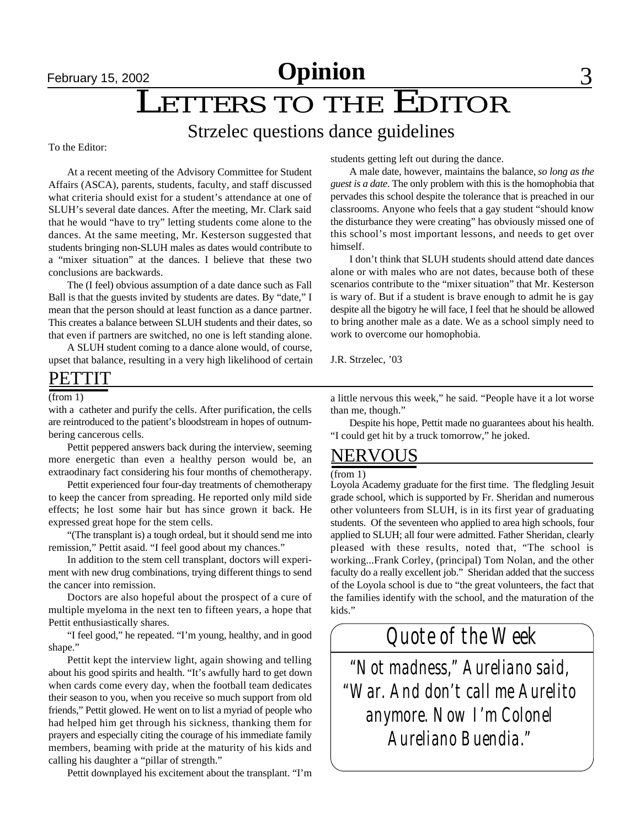## February 15, 2002 **Committee Committee 3**

## LETTERS TO THE EDITOR

### Strzelec questions dance guidelines

### To the Editor:

At a recent meeting of the Advisory Committee for Student Affairs (ASCA), parents, students, faculty, and staff discussed what criteria should exist for a student's attendance at one of SLUH's several date dances. After the meeting, Mr. Clark said that he would "have to try" letting students come alone to the dances. At the same meeting, Mr. Kesterson suggested that students bringing non-SLUH males as dates would contribute to a "mixer situation" at the dances. I believe that these two conclusions are backwards.

The (I feel) obvious assumption of a date dance such as Fall Ball is that the guests invited by students are dates. By "date," I mean that the person should at least function as a dance partner. This creates a balance between SLUH students and their dates, so that even if partners are switched, no one is left standing alone.

A SLUH student coming to a dance alone would, of course, upset that balance, resulting in a very high likelihood of certain

### PETTIT

with a catheter and purify the cells. After purification, the cells are reintroduced to the patient's bloodstream in hopes of outnumbering cancerous cells.

Pettit peppered answers back during the interview, seeming more energetic than even a healthy person would be, an extraodinary fact considering his four months of chemotherapy.

Pettit experienced four four-day treatments of chemotherapy to keep the cancer from spreading. He reported only mild side effects; he lost some hair but has since grown it back. He expressed great hope for the stem cells.

"(The transplant is) a tough ordeal, but it should send me into remission," Pettit asaid. "I feel good about my chances."

In addition to the stem cell transplant, doctors will experiment with new drug combinations, trying different things to send the cancer into remission.

Doctors are also hopeful about the prospect of a cure of multiple myeloma in the next ten to fifteen years, a hope that Pettit enthusiastically shares.

"I feel good," he repeated. "I'm young, healthy, and in good shape."

Pettit kept the interview light, again showing and telling about his good spirits and health. "It's awfully hard to get down when cards come every day, when the football team dedicates their season to you, when you receive so much support from old friends," Pettit glowed. He went on to list a myriad of people who had helped him get through his sickness, thanking them for prayers and especially citing the courage of his immediate family members, beaming with pride at the maturity of his kids and calling his daughter a "pillar of strength."

Pettit downplayed his excitement about the transplant. "I'm

students getting left out during the dance.

A male date, however, maintains the balance, *so long as the guest is a date*. The only problem with this is the homophobia that pervades this school despite the tolerance that is preached in our classrooms. Anyone who feels that a gay student "should know the disturbance they were creating" has obviously missed one of this school's most important lessons, and needs to get over himself.

I don't think that SLUH students should attend date dances alone or with males who are not dates, because both of these scenarios contribute to the "mixer situation" that Mr. Kesterson is wary of. But if a student is brave enough to admit he is gay despite all the bigotry he will face, I feel that he should be allowed to bring another male as a date. We as a school simply need to work to overcome our homophobia.

J.R. Strzelec, '03

(from 1) a little nervous this week," he said. "People have it a lot worse than me, though."

> Despite his hope, Pettit made no guarantees about his health. "I could get hit by a truck tomorrow," he joked.

### NERVOUS

### (from 1)

Loyola Academy graduate for the first time. The fledgling Jesuit grade school, which is supported by Fr. Sheridan and numerous other volunteers from SLUH, is in its first year of graduating students. Of the seventeen who applied to area high schools, four applied to SLUH; all four were admitted. Father Sheridan, clearly pleased with these results, noted that, "The school is working...Frank Corley, (principal) Tom Nolan, and the other faculty do a really excellent job." Sheridan added that the success of the Loyola school is due to "the great volunteers, the fact that the families identify with the school, and the maturation of the kids."

*Quote of the Week*

*"Not madness," Aureliano said, "War. And don't call me Aurelito anymore. Now I'm Colonel Aureliano Buendia."*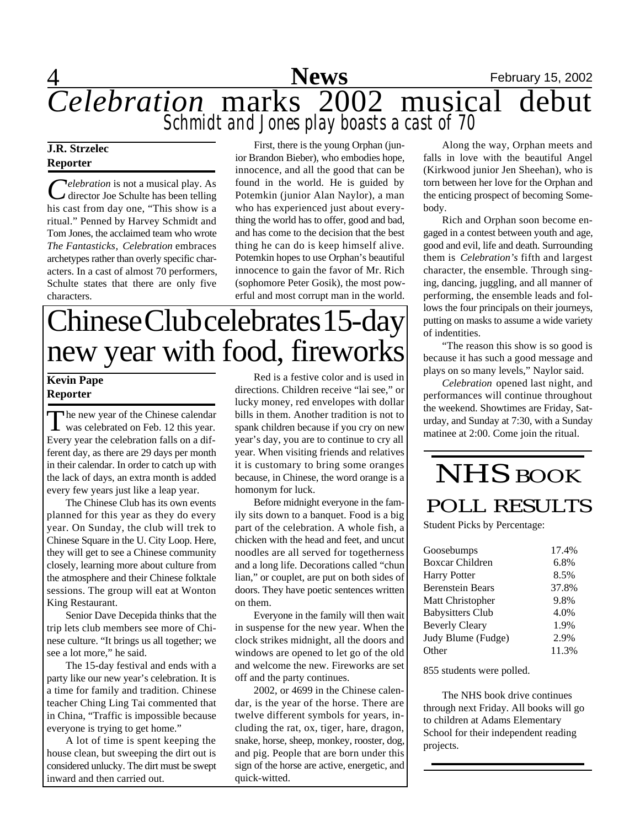

### **J.R. Strzelec Reporter**

*Celebration* is not a musical play. As<br>
director Joe Schulte has been telling *elebration* is not a musical play. As his cast from day one, "This show is a ritual." Penned by Harvey Schmidt and Tom Jones, the acclaimed team who wrote *The Fantasticks*, *Celebration* embraces archetypes rather than overly specific characters. In a cast of almost 70 performers, Schulte states that there are only five characters.

First, there is the young Orphan (junior Brandon Bieber), who embodies hope, innocence, and all the good that can be found in the world. He is guided by Potemkin (junior Alan Naylor), a man who has experienced just about everything the world has to offer, good and bad, and has come to the decision that the best thing he can do is keep himself alive. Potemkin hopes to use Orphan's beautiful innocence to gain the favor of Mr. Rich (sophomore Peter Gosik), the most powerful and most corrupt man in the world.

# Chinese Club celebrates 15-day new year with food, fireworks

### **Kevin Pape Reporter**

The new year of the Chinese calendar<br>was celebrated on Feb. 12 this year. was celebrated on Feb. 12 this year. Every year the celebration falls on a different day, as there are 29 days per month in their calendar. In order to catch up with the lack of days, an extra month is added every few years just like a leap year.

The Chinese Club has its own events planned for this year as they do every year. On Sunday, the club will trek to Chinese Square in the U. City Loop. Here, they will get to see a Chinese community closely, learning more about culture from the atmosphere and their Chinese folktale sessions. The group will eat at Wonton King Restaurant.

Senior Dave Decepida thinks that the trip lets club members see more of Chinese culture. "It brings us all together; we see a lot more," he said.

The 15-day festival and ends with a party like our new year's celebration. It is a time for family and tradition. Chinese teacher Ching Ling Tai commented that in China, "Traffic is impossible because everyone is trying to get home."

A lot of time is spent keeping the house clean, but sweeping the dirt out is considered unlucky. The dirt must be swept inward and then carried out.

Red is a festive color and is used in directions. Children receive "lai see," or lucky money, red envelopes with dollar bills in them. Another tradition is not to spank children because if you cry on new year's day, you are to continue to cry all year. When visiting friends and relatives it is customary to bring some oranges because, in Chinese, the word orange is a homonym for luck.

Before midnight everyone in the family sits down to a banquet. Food is a big part of the celebration. A whole fish, a chicken with the head and feet, and uncut noodles are all served for togetherness and a long life. Decorations called "chun lian," or couplet, are put on both sides of doors. They have poetic sentences written on them.

Everyone in the family will then wait in suspense for the new year. When the clock strikes midnight, all the doors and windows are opened to let go of the old and welcome the new. Fireworks are set off and the party continues.

2002, or 4699 in the Chinese calendar, is the year of the horse. There are twelve different symbols for years, including the rat, ox, tiger, hare, dragon, snake, horse, sheep, monkey, rooster, dog, and pig. People that are born under this sign of the horse are active, energetic, and quick-witted.

Along the way, Orphan meets and falls in love with the beautiful Angel (Kirkwood junior Jen Sheehan), who is torn between her love for the Orphan and the enticing prospect of becoming Somebody.

Rich and Orphan soon become engaged in a contest between youth and age, good and evil, life and death. Surrounding them is *Celebration's* fifth and largest character, the ensemble. Through singing, dancing, juggling, and all manner of performing, the ensemble leads and follows the four principals on their journeys, putting on masks to assume a wide variety of indentities.

"The reason this show is so good is because it has such a good message and plays on so many levels," Naylor said.

*Celebration* opened last night, and performances will continue throughout the weekend. Showtimes are Friday, Saturday, and Sunday at 7:30, with a Sunday matinee at 2:00. Come join the ritual.

## NHS BOOK POLL RESULTS

Student Picks by Percentage:

| Goosebumps              | 17.4% |
|-------------------------|-------|
| <b>Boxcar Children</b>  | 6.8%  |
| <b>Harry Potter</b>     | 8.5%  |
| <b>Berenstein Bears</b> | 37.8% |
| Matt Christopher        | 9.8%  |
| <b>Babysitters Club</b> | 4.0%  |
| <b>Beverly Cleary</b>   | 1.9%  |
| Judy Blume (Fudge)      | 2.9%  |
| Other                   | 11.3% |

855 students were polled.

The NHS book drive continues through next Friday. All books will go to children at Adams Elementary School for their independent reading projects.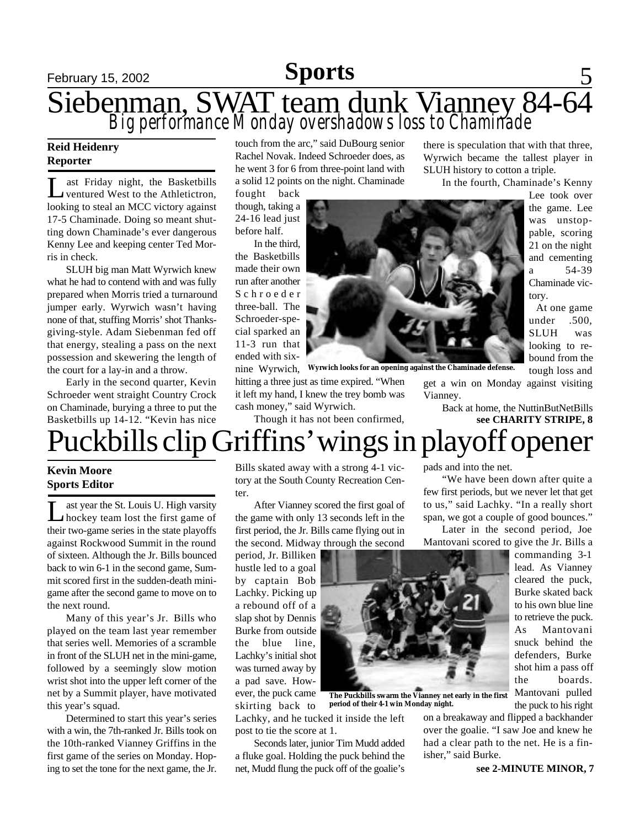# February 15, 2002 **Sports** 5

Siebenman, SWAT team dunk Vianney 84-64 *Big performance Monday overshadows loss to Chaminade*

### **Reid Heidenry Reporter**

Let Friday night, the Basketbills<br>
ventured West to the Athletictron, ast Friday night, the Basketbills looking to steal an MCC victory against 17-5 Chaminade. Doing so meant shutting down Chaminade's ever dangerous Kenny Lee and keeping center Ted Morris in check.

SLUH big man Matt Wyrwich knew what he had to contend with and was fully prepared when Morris tried a turnaround jumper early. Wyrwich wasn't having none of that, stuffing Morris' shot Thanksgiving-style. Adam Siebenman fed off that energy, stealing a pass on the next possession and skewering the length of the court for a lay-in and a throw.

Early in the second quarter, Kevin Schroeder went straight Country Crock on Chaminade, burying a three to put the Basketbills up 14-12. "Kevin has nice

touch from the arc," said DuBourg senior Rachel Novak. Indeed Schroeder does, as he went 3 for 6 from three-point land with a solid 12 points on the night. Chaminade

fought back though, taking a 24-16 lead just before half.

In the third, the Basketbills made their own run after another S c h r o e d e r three-ball. The Schroeder-special sparked an 11-3 run that ended with sixnine Wyrwich,



**Wyrwich looks for an opening against the Chaminade defense.**

**The Puckbills swarm the Vianney net early in the first**

hitting a three just as time expired. "When it left my hand, I knew the trey bomb was cash money," said Wyrwich.

Though it has not been confirmed,

there is speculation that with that three, Wyrwich became the tallest player in SLUH history to cotton a triple.

In the fourth, Chaminade's Kenny

Lee took over the game. Lee was unstoppable, scoring 21 on the night and cementing a 54-39 Chaminade victory.

At one game under .500, SLUH was looking to rebound from the tough loss and

get a win on Monday against visiting Vianney.

> Back at home, the NuttinButNetBills **see CHARITY STRIPE, 8**

# uckbills clip Griffins' wings in playoff opener

### **Kevin Moore Sports Editor**

L ast year the St. Louis U. High varsity hockey team lost the first game of their two-game series in the state playoffs against Rockwood Summit in the round of sixteen. Although the Jr. Bills bounced back to win 6-1 in the second game, Summit scored first in the sudden-death minigame after the second game to move on to the next round.

Many of this year's Jr. Bills who played on the team last year remember that series well. Memories of a scramble in front of the SLUH net in the mini-game, followed by a seemingly slow motion wrist shot into the upper left corner of the net by a Summit player, have motivated this year's squad.

Determined to start this year's series with a win, the 7th-ranked Jr. Bills took on the 10th-ranked Vianney Griffins in the first game of the series on Monday. Hoping to set the tone for the next game, the Jr.

Bills skated away with a strong 4-1 victory at the South County Recreation Center.

After Vianney scored the first goal of the game with only 13 seconds left in the first period, the Jr. Bills came flying out in the second. Midway through the second

period, Jr. Billiken hustle led to a goal by captain Bob Lachky. Picking up a rebound off of a slap shot by Dennis Burke from outside the blue line, Lachky's initial shot was turned away by a pad save. However, the puck came skirting back to

Lachky, and he tucked it inside the left post to tie the score at 1. **period of their 4-1 win Monday night.**

Seconds later, junior Tim Mudd added a fluke goal. Holding the puck behind the net, Mudd flung the puck off of the goalie's

pads and into the net.

"We have been down after quite a few first periods, but we never let that get to us," said Lachky. "In a really short span, we got a couple of good bounces."

Later in the second period, Joe Mantovani scored to give the Jr. Bills a

commanding 3-1 lead. As Vianney cleared the puck, Burke skated back to his own blue line to retrieve the puck. As Mantovani snuck behind the defenders, Burke shot him a pass off the boards. Mantovani pulled the puck to his right

on a breakaway and flipped a backhander over the goalie. "I saw Joe and knew he had a clear path to the net. He is a finisher," said Burke.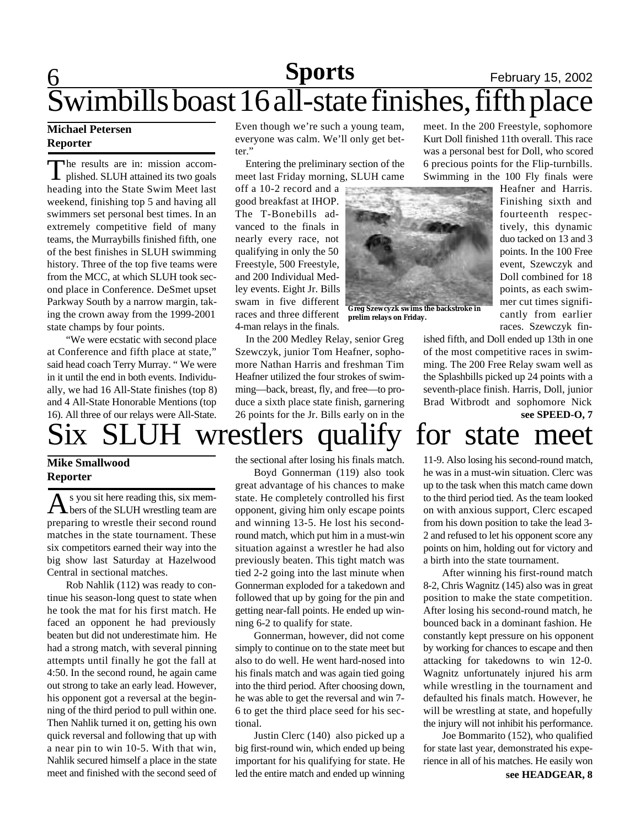# 6 **Sports** February 15, 2002 Swimbills boast 16 all-state finishes, fifth place

### **Michael Petersen Reporter**

T he results are in: mission accomplished. SLUH attained its two goals heading into the State Swim Meet last weekend, finishing top 5 and having all swimmers set personal best times. In an extremely competitive field of many teams, the Murraybills finished fifth, one of the best finishes in SLUH swimming history. Three of the top five teams were from the MCC, at which SLUH took second place in Conference. DeSmet upset Parkway South by a narrow margin, taking the crown away from the 1999-2001 state champs by four points.

"We were ecstatic with second place at Conference and fifth place at state," said head coach Terry Murray. " We were in it until the end in both events. Individually, we had 16 All-State finishes (top 8) and 4 All-State Honorable Mentions (top 16). All three of our relays were All-State.

Even though we're such a young team, everyone was calm. We'll only get better."

 Entering the preliminary section of the meet last Friday morning, SLUH came

off a 10-2 record and a good breakfast at IHOP. The T-Bonebills advanced to the finals in nearly every race, not qualifying in only the 50 Freestyle, 500 Freestyle, and 200 Individual Medley events. Eight Jr. Bills swam in five different races and three different 4-man relays in the finals.

 In the 200 Medley Relay, senior Greg Szewczyk, junior Tom Heafner, sophomore Nathan Harris and freshman Tim Heafner utilized the four strokes of swimming—back, breast, fly, and free—to produce a sixth place state finish, garnering 26 points for the Jr. Bills early on in the

meet. In the 200 Freestyle, sophomore Kurt Doll finished 11th overall. This race was a personal best for Doll, who scored 6 precious points for the Flip-turnbills. Swimming in the 100 Fly finals were

> Heafner and Harris. Finishing sixth and fourteenth respectively, this dynamic duo tacked on 13 and 3 points. In the 100 Free event, Szewczyk and Doll combined for 18 points, as each swimmer cut times significantly from earlier races. Szewczyk fin-

ished fifth, and Doll ended up 13th in one of the most competitive races in swimming. The 200 Free Relay swam well as the Splashbills picked up 24 points with a seventh-place finish. Harris, Doll, junior Brad Witbrodt and sophomore Nick **see SPEED-O, 7**

# Six SLUH wrestlers qualify for state meet

### **Mike Smallwood Reporter**

 $\mathbf A$  s you sit here reading this, six mem-<br>bers of the SLUH wrestling team are s you sit here reading this, six mempreparing to wrestle their second round matches in the state tournament. These six competitors earned their way into the big show last Saturday at Hazelwood Central in sectional matches.

Rob Nahlik (112) was ready to continue his season-long quest to state when he took the mat for his first match. He faced an opponent he had previously beaten but did not underestimate him. He had a strong match, with several pinning attempts until finally he got the fall at 4:50. In the second round, he again came out strong to take an early lead. However, his opponent got a reversal at the beginning of the third period to pull within one. Then Nahlik turned it on, getting his own quick reversal and following that up with a near pin to win 10-5. With that win, Nahlik secured himself a place in the state meet and finished with the second seed of the sectional after losing his finals match.

Boyd Gonnerman (119) also took great advantage of his chances to make state. He completely controlled his first opponent, giving him only escape points and winning 13-5. He lost his secondround match, which put him in a must-win situation against a wrestler he had also previously beaten. This tight match was tied 2-2 going into the last minute when Gonnerman exploded for a takedown and followed that up by going for the pin and getting near-fall points. He ended up winning 6-2 to qualify for state.

Gonnerman, however, did not come simply to continue on to the state meet but also to do well. He went hard-nosed into his finals match and was again tied going into the third period. After choosing down, he was able to get the reversal and win 7- 6 to get the third place seed for his sectional.

Justin Clerc (140) also picked up a big first-round win, which ended up being important for his qualifying for state. He led the entire match and ended up winning

11-9. Also losing his second-round match,

he was in a must-win situation. Clerc was up to the task when this match came down to the third period tied. As the team looked on with anxious support, Clerc escaped from his down position to take the lead 3- 2 and refused to let his opponent score any points on him, holding out for victory and a birth into the state tournament.

After winning his first-round match 8-2, Chris Wagnitz (145) also was in great position to make the state competition. After losing his second-round match, he bounced back in a dominant fashion. He constantly kept pressure on his opponent by working for chances to escape and then attacking for takedowns to win 12-0. Wagnitz unfortunately injured his arm while wrestling in the tournament and defaulted his finals match. However, he will be wrestling at state, and hopefully the injury will not inhibit his performance.

Joe Bommarito (152), who qualified for state last year, demonstrated his experience in all of his matches. He easily won



**prelim relays on Friday.**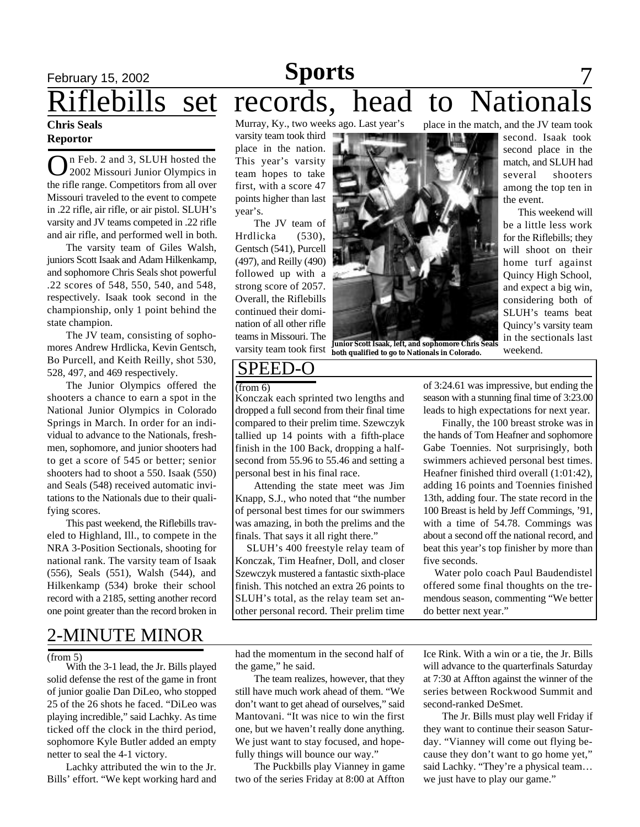# February 15, 2002 **Sports** 7 Riflebills set records, head to National

### **Chris Seals Reportor**

O n Feb. 2 and 3, SLUH hosted the 2002 Missouri Junior Olympics in the rifle range. Competitors from all over Missouri traveled to the event to compete in .22 rifle, air rifle, or air pistol. SLUH's varsity and JV teams competed in .22 rifle and air rifle, and performed well in both.

The varsity team of Giles Walsh, juniors Scott Isaak and Adam Hilkenkamp, and sophomore Chris Seals shot powerful .22 scores of 548, 550, 540, and 548, respectively. Isaak took second in the championship, only 1 point behind the state champion.

The JV team, consisting of sophomores Andrew Hrdlicka, Kevin Gentsch, Bo Purcell, and Keith Reilly, shot 530, 528, 497, and 469 respectively.

The Junior Olympics offered the shooters a chance to earn a spot in the National Junior Olympics in Colorado Springs in March. In order for an individual to advance to the Nationals, freshmen, sophomore, and junior shooters had to get a score of 545 or better; senior shooters had to shoot a 550. Isaak (550) and Seals (548) received automatic invitations to the Nationals due to their qualifying scores.

This past weekend, the Riflebills traveled to Highland, Ill., to compete in the NRA 3-Position Sectionals, shooting for national rank. The varsity team of Isaak (556), Seals (551), Walsh (544), and Hilkenkamp (534) broke their school record with a 2185, setting another record one point greater than the record broken in

## 2-MINUTE MINOR

### (from 5)

With the 3-1 lead, the Jr. Bills played solid defense the rest of the game in front of junior goalie Dan DiLeo, who stopped 25 of the 26 shots he faced. "DiLeo was playing incredible," said Lachky. As time ticked off the clock in the third period, sophomore Kyle Butler added an empty netter to seal the 4-1 victory.

Lachky attributed the win to the Jr. Bills' effort. "We kept working hard and Murray, Ky., two weeks ago. Last year's

varsity team took third place in the nation. This year's varsity team hopes to take first, with a score 47 points higher than last year's.

The JV team of Hrdlicka (530), Gentsch (541), Purcell (497), and Reilly (490) followed up with a strong score of 2057. Overall, the Riflebills continued their domination of all other rifle teams in Missouri. The varsity team took first



weekend. **Junior Scott Isaak, left, and sophomore Chris Seals both qualified to go to Nationals in Colorado.**

### place in the match, and the JV team took

second. Isaak took second place in the match, and SLUH had several shooters among the top ten in the event.

 This weekend will be a little less work for the Riflebills; they will shoot on their home turf against Quincy High School, and expect a big win, considering both of SLUH's teams beat Quincy's varsity team in the sectionals last

## SPEED-O

### (from 6)

Konczak each sprinted two lengths and dropped a full second from their final time compared to their prelim time. Szewczyk tallied up 14 points with a fifth-place finish in the 100 Back, dropping a halfsecond from 55.96 to 55.46 and setting a personal best in his final race.

Attending the state meet was Jim Knapp, S.J., who noted that "the number of personal best times for our swimmers was amazing, in both the prelims and the finals. That says it all right there."

 SLUH's 400 freestyle relay team of Konczak, Tim Heafner, Doll, and closer Szewczyk mustered a fantastic sixth-place finish. This notched an extra 26 points to SLUH's total, as the relay team set another personal record. Their prelim time

of 3:24.61 was impressive, but ending the season with a stunning final time of 3:23.00 leads to high expectations for next year.

Finally, the 100 breast stroke was in the hands of Tom Heafner and sophomore Gabe Toennies. Not surprisingly, both swimmers achieved personal best times. Heafner finished third overall (1:01:42), adding 16 points and Toennies finished 13th, adding four. The state record in the 100 Breast is held by Jeff Commings, '91, with a time of 54.78. Commings was about a second off the national record, and beat this year's top finisher by more than five seconds.

 Water polo coach Paul Baudendistel offered some final thoughts on the tremendous season, commenting "We better do better next year."

had the momentum in the second half of the game," he said.

The team realizes, however, that they still have much work ahead of them. "We don't want to get ahead of ourselves," said Mantovani. "It was nice to win the first one, but we haven't really done anything. We just want to stay focused, and hopefully things will bounce our way."

The Puckbills play Vianney in game two of the series Friday at 8:00 at Affton Ice Rink. With a win or a tie, the Jr. Bills will advance to the quarterfinals Saturday at 7:30 at Affton against the winner of the series between Rockwood Summit and second-ranked DeSmet.

The Jr. Bills must play well Friday if they want to continue their season Saturday. "Vianney will come out flying because they don't want to go home yet," said Lachky. "They're a physical team… we just have to play our game."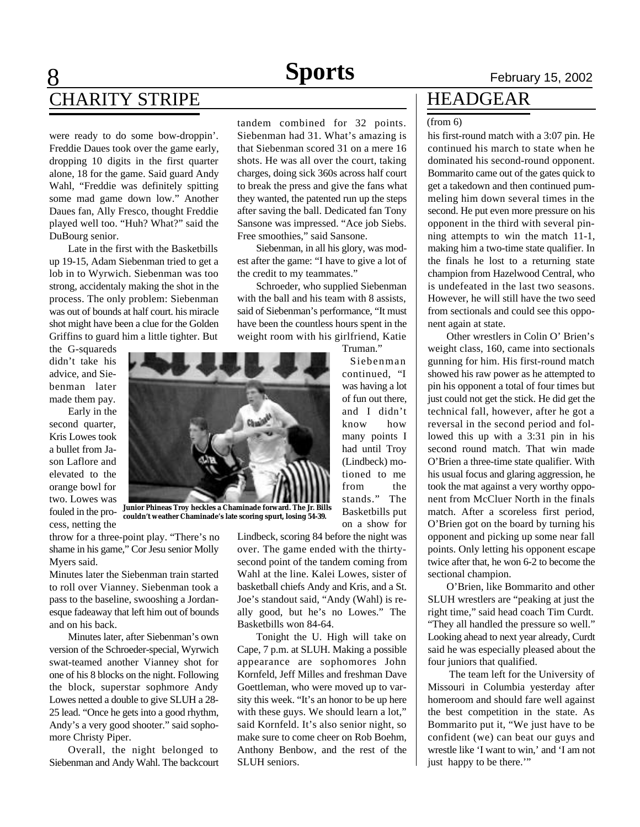## 8 **Sports** February 15, 2002 CHARITY STRIPE FOR THEADGEAR

were ready to do some bow-droppin'. Freddie Daues took over the game early, dropping 10 digits in the first quarter alone, 18 for the game. Said guard Andy Wahl, "Freddie was definitely spitting some mad game down low." Another Daues fan, Ally Fresco, thought Freddie played well too. "Huh? What?" said the DuBourg senior.

Late in the first with the Basketbills up 19-15, Adam Siebenman tried to get a lob in to Wyrwich. Siebenman was too strong, accidentaly making the shot in the process. The only problem: Siebenman was out of bounds at half court. his miracle shot might have been a clue for the Golden Griffins to guard him a little tighter. But

the G-squareds didn't take his advice, and Siebenman later made them pay.

Early in the second quarter, Kris Lowes took a bullet from Jason Laflore and elevated to the orange bowl for two. Lowes was fouled in the process, netting the

tandem combined for 32 points. Siebenman had 31. What's amazing is that Siebenman scored 31 on a mere 16 shots. He was all over the court, taking charges, doing sick 360s across half court to break the press and give the fans what they wanted, the patented run up the steps after saving the ball. Dedicated fan Tony Sansone was impressed. "Ace job Siebs. Free smoothies," said Sansone.

Siebenman, in all his glory, was modest after the game: "I have to give a lot of the credit to my teammates."

Schroeder, who supplied Siebenman with the ball and his team with 8 assists, said of Siebenman's performance, "It must have been the countless hours spent in the weight room with his girlfriend, Katie

Truman."

Siebenman continued, "I was having a lot of fun out there, and I didn't know how many points I had until Troy (Lindbeck) motioned to me from the stands." The Basketbills put on a show for

throw for a three-point play. "There's no shame in his game," Cor Jesu senior Molly Myers said.

Minutes later the Siebenman train started to roll over Vianney. Siebenman took a pass to the baseline, swooshing a Jordanesque fadeaway that left him out of bounds and on his back.

Minutes later, after Siebenman's own version of the Schroeder-special, Wyrwich swat-teamed another Vianney shot for one of his 8 blocks on the night. Following the block, superstar sophmore Andy Lowes netted a double to give SLUH a 28- 25 lead. "Once he gets into a good rhythm, Andy's a very good shooter." said sophomore Christy Piper.

Overall, the night belonged to Siebenman and Andy Wahl. The backcourt Lindbeck, scoring 84 before the night was over. The game ended with the thirtysecond point of the tandem coming from Wahl at the line. Kalei Lowes, sister of basketball chiefs Andy and Kris, and a St. Joe's standout said, "Andy (Wahl) is really good, but he's no Lowes." The Basketbills won 84-64.

Tonight the U. High will take on Cape, 7 p.m. at SLUH. Making a possible appearance are sophomores John Kornfeld, Jeff Milles and freshman Dave Goettleman, who were moved up to varsity this week. "It's an honor to be up here with these guys. We should learn a lot," said Kornfeld. It's also senior night, so make sure to come cheer on Rob Boehm, Anthony Benbow, and the rest of the SLUH seniors.

### (from 6)

his first-round match with a 3:07 pin. He continued his march to state when he dominated his second-round opponent. Bommarito came out of the gates quick to get a takedown and then continued pummeling him down several times in the second. He put even more pressure on his opponent in the third with several pinning attempts to win the match 11-1, making him a two-time state qualifier. In the finals he lost to a returning state champion from Hazelwood Central, who is undefeated in the last two seasons. However, he will still have the two seed from sectionals and could see this opponent again at state.

Other wrestlers in Colin O' Brien's weight class, 160, came into sectionals gunning for him. His first-round match showed his raw power as he attempted to pin his opponent a total of four times but just could not get the stick. He did get the technical fall, however, after he got a reversal in the second period and followed this up with a 3:31 pin in his second round match. That win made O'Brien a three-time state qualifier. With his usual focus and glaring aggression, he took the mat against a very worthy opponent from McCluer North in the finals match. After a scoreless first period, O'Brien got on the board by turning his opponent and picking up some near fall points. Only letting his opponent escape twice after that, he won 6-2 to become the sectional champion.

O'Brien, like Bommarito and other SLUH wrestlers are "peaking at just the right time," said head coach Tim Curdt. "They all handled the pressure so well." Looking ahead to next year already, Curdt said he was especially pleased about the four juniors that qualified.

 The team left for the University of Missouri in Columbia yesterday after homeroom and should fare well against the best competition in the state. As Bommarito put it, "We just have to be confident (we) can beat our guys and wrestle like 'I want to win,' and 'I am not just happy to be there."



**Junior Phineas Troy heckles a Chaminade forward. The Jr. Bills couldn't weather Chaminade's late scoring spurt, losing 54-39.**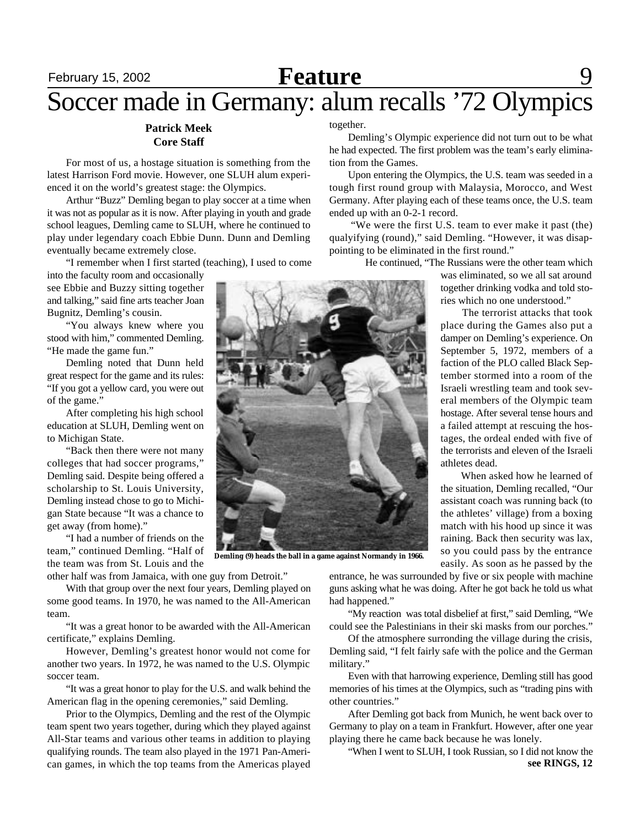# **February 15, 2002 Feature** 9

## Soccer made in Germany: alum recalls '72 Olympics

### **Patrick Meek Core Staff**

For most of us, a hostage situation is something from the latest Harrison Ford movie. However, one SLUH alum experienced it on the world's greatest stage: the Olympics.

Arthur "Buzz" Demling began to play soccer at a time when it was not as popular as it is now. After playing in youth and grade school leagues, Demling came to SLUH, where he continued to play under legendary coach Ebbie Dunn. Dunn and Demling eventually became extremely close.

"I remember when I first started (teaching), I used to come

into the faculty room and occasionally see Ebbie and Buzzy sitting together and talking," said fine arts teacher Joan Bugnitz, Demling's cousin.

"You always knew where you stood with him," commented Demling. "He made the game fun."

Demling noted that Dunn held great respect for the game and its rules: "If you got a yellow card, you were out of the game."

After completing his high school education at SLUH, Demling went on to Michigan State.

"Back then there were not many colleges that had soccer programs," Demling said. Despite being offered a scholarship to St. Louis University, Demling instead chose to go to Michigan State because "It was a chance to get away (from home)."

"I had a number of friends on the team," continued Demling. "Half of the team was from St. Louis and the other half was from Jamaica, with one guy from Detroit."

With that group over the next four years, Demling played on some good teams. In 1970, he was named to the All-American team.

"It was a great honor to be awarded with the All-American certificate," explains Demling.

However, Demling's greatest honor would not come for another two years. In 1972, he was named to the U.S. Olympic soccer team.

"It was a great honor to play for the U.S. and walk behind the American flag in the opening ceremonies," said Demling.

Prior to the Olympics, Demling and the rest of the Olympic team spent two years together, during which they played against All-Star teams and various other teams in addition to playing qualifying rounds. The team also played in the 1971 Pan-American games, in which the top teams from the Americas played

together.

Demling's Olympic experience did not turn out to be what he had expected. The first problem was the team's early elimination from the Games.

Upon entering the Olympics, the U.S. team was seeded in a tough first round group with Malaysia, Morocco, and West Germany. After playing each of these teams once, the U.S. team ended up with an 0-2-1 record.

 "We were the first U.S. team to ever make it past (the) qualyifying (round)," said Demling. "However, it was disappointing to be eliminated in the first round."

He continued, "The Russians were the other team which

was eliminated, so we all sat around together drinking vodka and told stories which no one understood."

 The terrorist attacks that took place during the Games also put a damper on Demling's experience. On September 5, 1972, members of a faction of the PLO called Black September stormed into a room of the Israeli wrestling team and took several members of the Olympic team hostage. After several tense hours and a failed attempt at rescuing the hostages, the ordeal ended with five of the terrorists and eleven of the Israeli athletes dead.

 When asked how he learned of the situation, Demling recalled, "Our assistant coach was running back (to the athletes' village) from a boxing match with his hood up since it was raining. Back then security was lax, so you could pass by the entrance easily. As soon as he passed by the

entrance, he was surrounded by five or six people with machine guns asking what he was doing. After he got back he told us what had happened."

"My reaction was total disbelief at first," said Demling, "We could see the Palestinians in their ski masks from our porches."

Of the atmosphere surronding the village during the crisis, Demling said, "I felt fairly safe with the police and the German military."

Even with that harrowing experience, Demling still has good memories of his times at the Olympics, such as "trading pins with other countries."

After Demling got back from Munich, he went back over to Germany to play on a team in Frankfurt. However, after one year playing there he came back because he was lonely.

"When I went to SLUH, I took Russian, so I did not know the **see RINGS, 12**

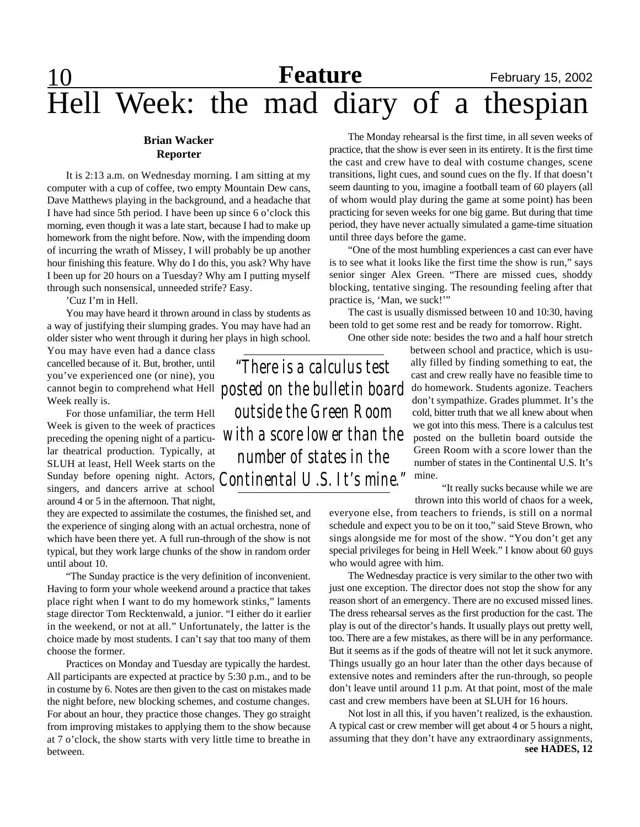# 10 **Feature** February 15, 2002 Hell Week: the mad diary of a thespian

### **Brian Wacker Reporter**

It is 2:13 a.m. on Wednesday morning. I am sitting at my computer with a cup of coffee, two empty Mountain Dew cans, Dave Matthews playing in the background, and a headache that I have had since 5th period. I have been up since 6 o'clock this morning, even though it was a late start, because I had to make up homework from the night before. Now, with the impending doom of incurring the wrath of Missey, I will probably be up another hour finishing this feature. Why do I do this, you ask? Why have I been up for 20 hours on a Tuesday? Why am I putting myself through such nonsensical, unneeded strife? Easy.

'Cuz I'm in Hell.

You may have heard it thrown around in class by students as a way of justifying their slumping grades. You may have had an older sister who went through it during her plays in high school.

You may have even had a dance class cancelled because of it. But, brother, until you've experienced one (or nine), you Week really is.

For those unfamiliar, the term Hell Week is given to the week of practices preceding the opening night of a particular theatrical production. Typically, at SLUH at least, Hell Week starts on the Sunday before opening night. Actors, singers, and dancers arrive at school around 4 or 5 in the afternoon. That night,

they are expected to assimilate the costumes, the finished set, and the experience of singing along with an actual orchestra, none of which have been there yet. A full run-through of the show is not typical, but they work large chunks of the show in random order until about 10.

"The Sunday practice is the very definition of inconvenient. Having to form your whole weekend around a practice that takes place right when I want to do my homework stinks," laments stage director Tom Recktenwald, a junior. "I either do it earlier in the weekend, or not at all." Unfortunately, the latter is the choice made by most students. I can't say that too many of them choose the former.

Practices on Monday and Tuesday are typically the hardest. All participants are expected at practice by 5:30 p.m., and to be in costume by 6. Notes are then given to the cast on mistakes made the night before, new blocking schemes, and costume changes. For about an hour, they practice those changes. They go straight from improving mistakes to applying them to the show because at 7 o'clock, the show starts with very little time to breathe in between.

The Monday rehearsal is the first time, in all seven weeks of practice, that the show is ever seen in its entirety. It is the first time the cast and crew have to deal with costume changes, scene transitions, light cues, and sound cues on the fly. If that doesn't seem daunting to you, imagine a football team of 60 players (all of whom would play during the game at some point) has been practicing for seven weeks for one big game. But during that time period, they have never actually simulated a game-time situation until three days before the game.

"One of the most humbling experiences a cast can ever have is to see what it looks like the first time the show is run," says senior singer Alex Green. "There are missed cues, shoddy blocking, tentative singing. The resounding feeling after that practice is, 'Man, we suck!'"

The cast is usually dismissed between 10 and 10:30, having been told to get some rest and be ready for tomorrow. Right.

One other side note: besides the two and a half hour stretch

cannot begin to comprehend what Hell *posted on the bulletin board* do homework. Students agonize. Teachers<br>Weak really is mine. *"There is a calculus test outside the Green Room with a score lower than the number of states in the Continental U.S. It's mine."*

between school and practice, which is usually filled by finding something to eat, the cast and crew really have no feasible time to don't sympathize. Grades plummet. It's the cold, bitter truth that we all knew about when we got into this mess. There is a calculus test posted on the bulletin board outside the Green Room with a score lower than the number of states in the Continental U.S. It's

"It really sucks because while we are thrown into this world of chaos for a week,

everyone else, from teachers to friends, is still on a normal schedule and expect you to be on it too," said Steve Brown, who sings alongside me for most of the show. "You don't get any special privileges for being in Hell Week." I know about 60 guys who would agree with him.

The Wednesday practice is very similar to the other two with just one exception. The director does not stop the show for any reason short of an emergency. There are no excused missed lines. The dress rehearsal serves as the first production for the cast. The play is out of the director's hands. It usually plays out pretty well, too. There are a few mistakes, as there will be in any performance. But it seems as if the gods of theatre will not let it suck anymore. Things usually go an hour later than the other days because of extensive notes and reminders after the run-through, so people don't leave until around 11 p.m. At that point, most of the male cast and crew members have been at SLUH for 16 hours.

Not lost in all this, if you haven't realized, is the exhaustion. A typical cast or crew member will get about 4 or 5 hours a night, assuming that they don't have any extraordinary assignments, **see HADES, 12**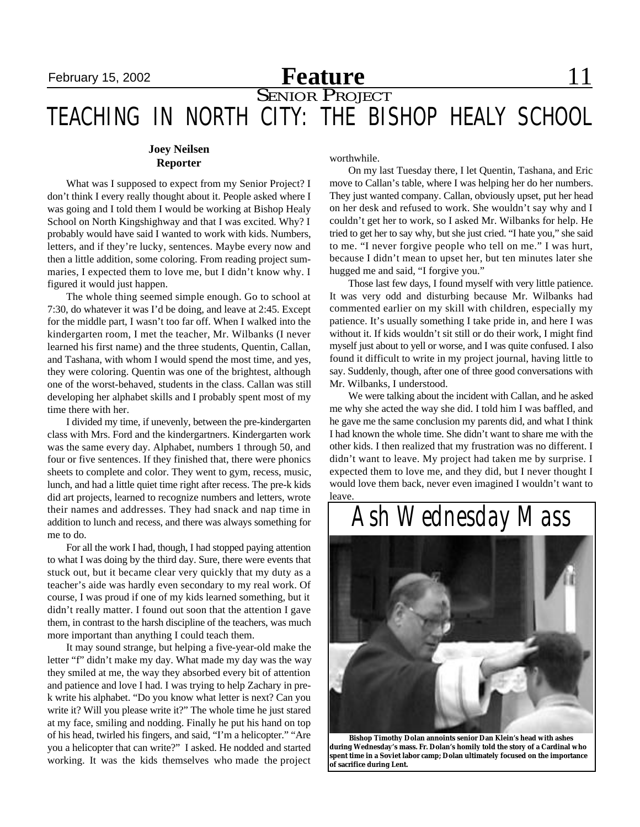# February 15, 2002 **Feature Feature** 11

## **SENIOR PROJECT** TEACHING IN NORTH CITY: THE BISHOP HEALY SCHOOL

### **Joey Neilsen Reporter**

What was I supposed to expect from my Senior Project? I don't think I every really thought about it. People asked where I was going and I told them I would be working at Bishop Healy School on North Kingshighway and that I was excited. Why? I probably would have said I wanted to work with kids. Numbers, letters, and if they're lucky, sentences. Maybe every now and then a little addition, some coloring. From reading project summaries, I expected them to love me, but I didn't know why. I figured it would just happen.

The whole thing seemed simple enough. Go to school at 7:30, do whatever it was I'd be doing, and leave at 2:45. Except for the middle part, I wasn't too far off. When I walked into the kindergarten room, I met the teacher, Mr. Wilbanks (I never learned his first name) and the three students, Quentin, Callan, and Tashana, with whom I would spend the most time, and yes, they were coloring. Quentin was one of the brightest, although one of the worst-behaved, students in the class. Callan was still developing her alphabet skills and I probably spent most of my time there with her.

I divided my time, if unevenly, between the pre-kindergarten class with Mrs. Ford and the kindergartners. Kindergarten work was the same every day. Alphabet, numbers 1 through 50, and four or five sentences. If they finished that, there were phonics sheets to complete and color. They went to gym, recess, music, lunch, and had a little quiet time right after recess. The pre-k kids did art projects, learned to recognize numbers and letters, wrote their names and addresses. They had snack and nap time in addition to lunch and recess, and there was always something for me to do.

For all the work I had, though, I had stopped paying attention to what I was doing by the third day. Sure, there were events that stuck out, but it became clear very quickly that my duty as a teacher's aide was hardly even secondary to my real work. Of course, I was proud if one of my kids learned something, but it didn't really matter. I found out soon that the attention I gave them, in contrast to the harsh discipline of the teachers, was much more important than anything I could teach them.

It may sound strange, but helping a five-year-old make the letter "f" didn't make my day. What made my day was the way they smiled at me, the way they absorbed every bit of attention and patience and love I had. I was trying to help Zachary in prek write his alphabet. "Do you know what letter is next? Can you write it? Will you please write it?" The whole time he just stared at my face, smiling and nodding. Finally he put his hand on top of his head, twirled his fingers, and said, "I'm a helicopter." "Are you a helicopter that can write?" I asked. He nodded and started working. It was the kids themselves who made the project

worthwhile.

On my last Tuesday there, I let Quentin, Tashana, and Eric move to Callan's table, where I was helping her do her numbers. They just wanted company. Callan, obviously upset, put her head on her desk and refused to work. She wouldn't say why and I couldn't get her to work, so I asked Mr. Wilbanks for help. He tried to get her to say why, but she just cried. "I hate you," she said to me. "I never forgive people who tell on me." I was hurt, because I didn't mean to upset her, but ten minutes later she hugged me and said, "I forgive you."

Those last few days, I found myself with very little patience. It was very odd and disturbing because Mr. Wilbanks had commented earlier on my skill with children, especially my patience. It's usually something I take pride in, and here I was without it. If kids wouldn't sit still or do their work, I might find myself just about to yell or worse, and I was quite confused. I also found it difficult to write in my project journal, having little to say. Suddenly, though, after one of three good conversations with Mr. Wilbanks, I understood.

We were talking about the incident with Callan, and he asked me why she acted the way she did. I told him I was baffled, and he gave me the same conclusion my parents did, and what I think I had known the whole time. She didn't want to share me with the other kids. I then realized that my frustration was no different. I didn't want to leave. My project had taken me by surprise. I expected them to love me, and they did, but I never thought I would love them back, never even imagined I wouldn't want to leave.



 **Bishop Timothy Dolan annoints senior Dan Klein's head with ashes during Wednesday's mass. Fr. Dolan's homily told the story of a Cardinal who spent time in a Soviet labor camp; Dolan ultimately focused on the importance of sacrifice during Lent.**